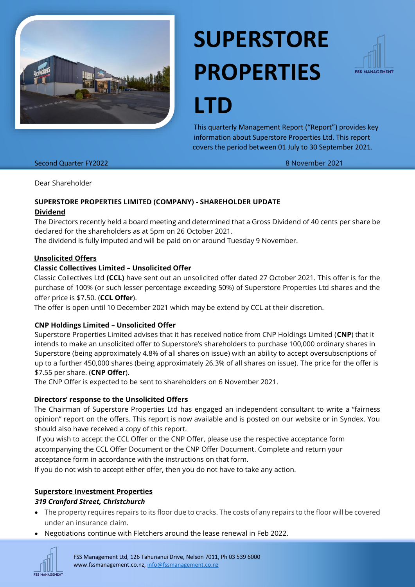

# **SUPERSTORE PROPERTIES**



**LTD**

This quarterly Management Report ("Report") provides key information about Superstore Properties Ltd. This report covers the period between 01 July to 30 September 2021.

#### Second Quarter FY2022 8 November 2021

Dear Shareholder

#### **SUPERSTORE PROPERTIES LIMITED (COMPANY) - SHAREHOLDER UPDATE**

#### **Dividend**

The Directors recently held a board meeting and determined that a Gross Dividend of 40 cents per share be declared for the shareholders as at 5pm on 26 October 2021.

The dividend is fully imputed and will be paid on or around Tuesday 9 November.

#### **Unsolicited Offers**

## **Classic Collectives Limited – Unsolicited Offer**

Classic Collectives Ltd **(CCL)** have sent out an unsolicited offer dated 27 October 2021. This offer is for the purchase of 100% (or such lesser percentage exceeding 50%) of Superstore Properties Ltd shares and the offer price is \$7.50. (**CCL Offer**).

The offer is open until 10 December 2021 which may be extend by CCL at their discretion.

## **CNP Holdings Limited – Unsolicited Offer**

Superstore Properties Limited advises that it has received notice from CNP Holdings Limited (**CNP**) that it intends to make an unsolicited offer to Superstore's shareholders to purchase 100,000 ordinary shares in Superstore (being approximately 4.8% of all shares on issue) with an ability to accept oversubscriptions of up to a further 450,000 shares (being approximately 26.3% of all shares on issue). The price for the offer is \$7.55 per share. (**CNP Offer**).

The CNP Offer is expected to be sent to shareholders on 6 November 2021.

## **Directors' response to the Unsolicited Offers**

The Chairman of Superstore Properties Ltd has engaged an independent consultant to write a "fairness opinion" report on the offers. This report is now available and is posted on our website or in Syndex. You should also have received a copy of this report.

If you wish to accept the CCL Offer or the CNP Offer, please use the respective acceptance form accompanying the CCL Offer Document or the CNP Offer Document. Complete and return your acceptance form in accordance with the instructions on that form.

If you do not wish to accept either offer, then you do not have to take any action.

## **Superstore Investment Properties**

## *319 Cranford Street, Christchurch*

- The property requires repairs to its floor due to cracks. The costs of any repairs to the floor will be covered under an insurance claim.
- Negotiations continue with Fletchers around the lease renewal in Feb 2022.



FSS Management Ltd, 126 Tahunanui Drive, Nelson 7011, Ph 03 539 6000 www.fssmanagement.co.nz, [info@fssmanagement.co.nz](mailto:info@fssmanagement.co.nz)